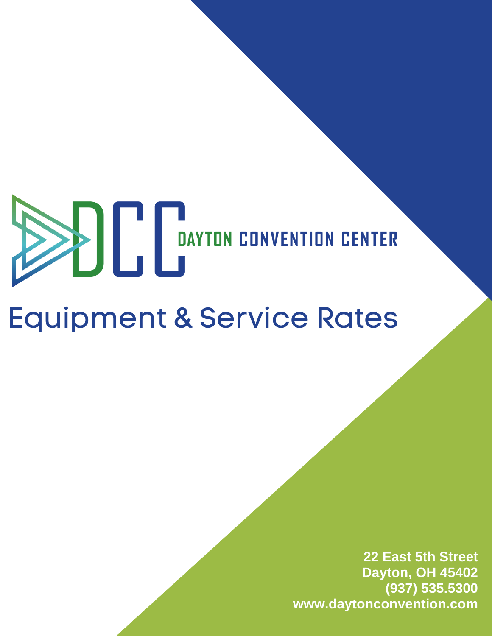# **EXAMPLE DAYTON CONVENTION CENTER**

# Equipment & Service Rates

**22 East 5th Street Dayton, OH 45402 (937) 535.5300 www.daytonconvention.com**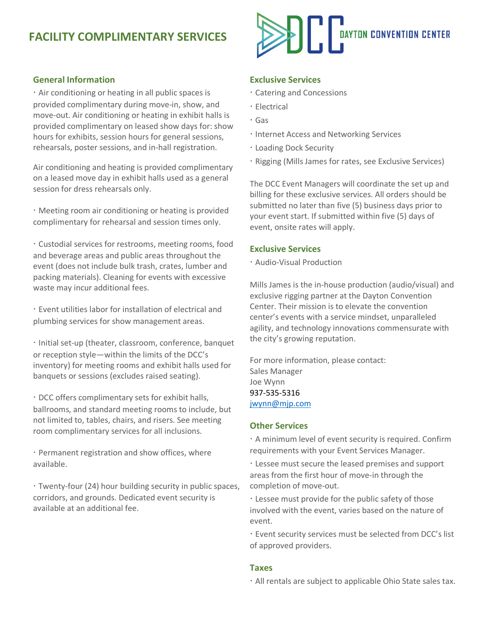# **FACILITY COMPLIMENTARY SERVICES**

#### **General Information**

· Air conditioning or heating in all public spaces is provided complimentary during move-in, show, and move-out. Air conditioning or heating in exhibit halls is provided complimentary on leased show days for: show hours for exhibits, session hours for general sessions, rehearsals, poster sessions, and in-hall registration.

Air conditioning and heating is provided complimentary on a leased move day in exhibit halls used as a general session for dress rehearsals only.

· Meeting room air conditioning or heating is provided complimentary for rehearsal and session times only.

· Custodial services for restrooms, meeting rooms, food and beverage areas and public areas throughout the event (does not include bulk trash, crates, lumber and packing materials). Cleaning for events with excessive waste may incur additional fees.

· Event utilities labor for installation of electrical and plumbing services for show management areas.

· Initial set-up (theater, classroom, conference, banquet or reception style—within the limits of the DCC's inventory) for meeting rooms and exhibit halls used for banquets or sessions (excludes raised seating).

· DCC offers complimentary sets for exhibit halls, ballrooms, and standard meeting rooms to include, but not limited to, tables, chairs, and risers. See meeting room complimentary services for all inclusions.

· Permanent registration and show offices, where available.

· Twenty-four (24) hour building security in public spaces, corridors, and grounds. Dedicated event security is available at an additional fee.



#### **Exclusive Services**

- · Catering and Concessions
- · Electrical
- · Gas
- · Internet Access and Networking Services
- · Loading Dock Security
- · Rigging (Mills James for rates, see Exclusive Services)

The DCC Event Managers will coordinate the set up and billing for these exclusive services. All orders should be submitted no later than five (5) business days prior to your event start. If submitted within five (5) days of event, onsite rates will apply.

#### **Exclusive Services**

· Audio-Visual Production

Mills James is the in-house production (audio/visual) and exclusive rigging partner at the Dayton Convention Center. Their mission is to elevate the convention center's events with a service mindset, unparalleled agility, and technology innovations commensurate with the city's growing reputation.

For more information, please contact: Sales Manager Joe Wynn 937-535-5316 [jwynn@mjp.com](mailto:jwynn@mjp.com)

#### **Other Services**

· A minimum level of event security is required. Confirm requirements with your Event Services Manager.

· Lessee must secure the leased premises and support areas from the first hour of move-in through the completion of move-out.

· Lessee must provide for the public safety of those involved with the event, varies based on the nature of event.

· Event security services must be selected from DCC's list of approved providers.

#### **Taxes**

· All rentals are subject to applicable Ohio State sales tax.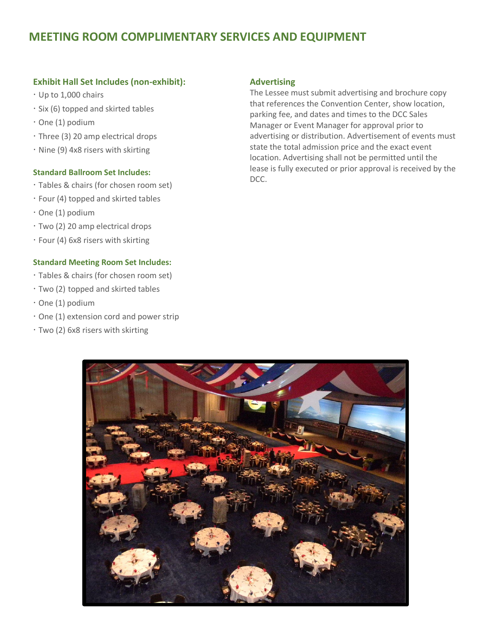# **MEETING ROOM COMPLIMENTARY SERVICES AND EQUIPMENT**

#### **Exhibit Hall Set Includes (non-exhibit):**

- · Up to 1,000 chairs
- · Six (6) topped and skirted tables
- · One (1) podium
- · Three (3) 20 amp electrical drops
- · Nine (9) 4x8 risers with skirting

#### **Standard Ballroom Set Includes:**

- · Tables & chairs (for chosen room set)
- · Four (4) topped and skirted tables
- · One (1) podium
- · Two (2) 20 amp electrical drops
- · Four (4) 6x8 risers with skirting

#### **Standard Meeting Room Set Includes:**

- · Tables & chairs (for chosen room set)
- · Two (2) topped and skirted tables
- · One (1) podium
- · One (1) extension cord and power strip
- · Two (2) 6x8 risers with skirting

#### **Advertising**

The Lessee must submit advertising and brochure copy that references the Convention Center, show location, parking fee, and dates and times to the DCC Sales Manager or Event Manager for approval prior to advertising or distribution. Advertisement of events must state the total admission price and the exact event location. Advertising shall not be permitted until the lease is fully executed or prior approval is received by the DCC.

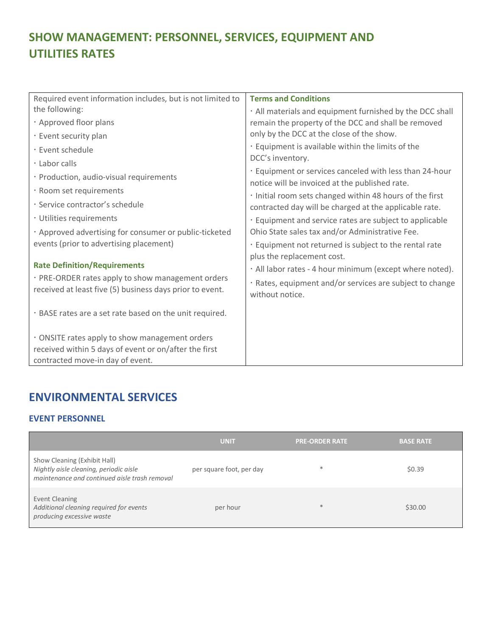# **SHOW MANAGEMENT: PERSONNEL, SERVICES, EQUIPMENT AND UTILITIES RATES**

| Required event information includes, but is not limited to | <b>Terms and Conditions</b>                                                                               |
|------------------------------------------------------------|-----------------------------------------------------------------------------------------------------------|
| the following:                                             | · All materials and equipment furnished by the DCC shall                                                  |
| · Approved floor plans                                     | remain the property of the DCC and shall be removed                                                       |
| · Event security plan                                      | only by the DCC at the close of the show.                                                                 |
| · Event schedule                                           | · Equipment is available within the limits of the                                                         |
| · Labor calls                                              | DCC's inventory.                                                                                          |
| · Production, audio-visual requirements                    | . Equipment or services canceled with less than 24-hour<br>notice will be invoiced at the published rate. |
| · Room set requirements                                    | · Initial room sets changed within 48 hours of the first                                                  |
| · Service contractor's schedule                            | contracted day will be charged at the applicable rate.                                                    |
| · Utilities requirements                                   | · Equipment and service rates are subject to applicable                                                   |
| · Approved advertising for consumer or public-ticketed     | Ohio State sales tax and/or Administrative Fee.                                                           |
| events (prior to advertising placement)                    | . Equipment not returned is subject to the rental rate                                                    |
|                                                            | plus the replacement cost.                                                                                |
| <b>Rate Definition/Requirements</b>                        | · All labor rates - 4 hour minimum (except where noted).                                                  |
| · PRE-ORDER rates apply to show management orders          | · Rates, equipment and/or services are subject to change                                                  |
| received at least five (5) business days prior to event.   | without notice.                                                                                           |
| . BASE rates are a set rate based on the unit required.    |                                                                                                           |
| . ONSITE rates apply to show management orders             |                                                                                                           |
| received within 5 days of event or on/after the first      |                                                                                                           |
| contracted move-in day of event.                           |                                                                                                           |

# **ENVIRONMENTAL SERVICES**

#### **EVENT PERSONNEL**

|                                                                                                                         | <b>UNIT</b>              | <b>PRE-ORDER RATE</b> | <b>BASE RATE</b> |
|-------------------------------------------------------------------------------------------------------------------------|--------------------------|-----------------------|------------------|
| Show Cleaning (Exhibit Hall)<br>Nightly aisle cleaning, periodic aisle<br>maintenance and continued aisle trash removal | per square foot, per day | $\ast$                | \$0.39           |
| Event Cleaning<br>Additional cleaning required for events<br>producing excessive waste                                  | per hour                 | $\ast$                | \$30.00          |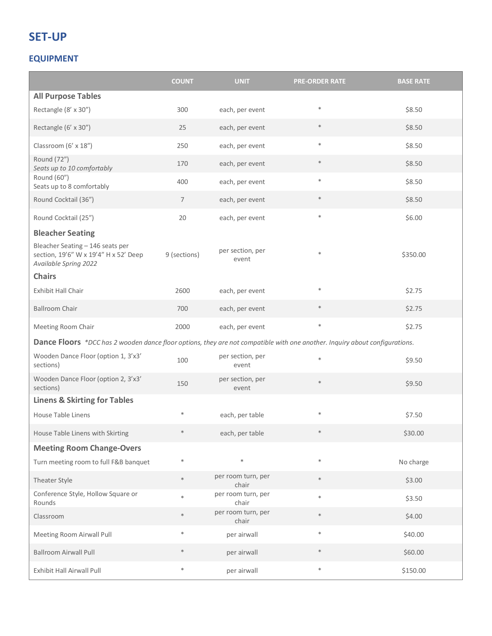# **SET-UP**

#### **EQUIPMENT**

|                                                                                                                             | <b>COUNT</b>   | <b>UNIT</b>                 | <b>PRE-ORDER RATE</b> | <b>BASE RATE</b> |
|-----------------------------------------------------------------------------------------------------------------------------|----------------|-----------------------------|-----------------------|------------------|
| <b>All Purpose Tables</b>                                                                                                   |                |                             |                       |                  |
| Rectangle (8' x 30")                                                                                                        | 300            | each, per event             | $\ast$                | \$8.50           |
| Rectangle (6' x 30")                                                                                                        | 25             | each, per event             | $\ast$                | \$8.50           |
| Classroom (6' x 18")                                                                                                        | 250            | each, per event             | $\ast$                | \$8.50           |
| Round (72")<br>Seats up to 10 comfortably                                                                                   | 170            | each, per event             | $\ast$                | \$8.50           |
| Round (60")<br>Seats up to 8 comfortably                                                                                    | 400            | each, per event             | $\ast$                | \$8.50           |
| Round Cocktail (36")                                                                                                        | $\overline{7}$ | each, per event             | $\ast$                | \$8.50           |
| Round Cocktail (25")                                                                                                        | 20             | each, per event             | $\ast$                | \$6.00           |
| <b>Bleacher Seating</b>                                                                                                     |                |                             |                       |                  |
| Bleacher Seating - 146 seats per<br>section, 19'6" W x 19'4" H x 52' Deep<br>Available Spring 2022                          | 9 (sections)   | per section, per<br>event   | $\ast$                | \$350.00         |
| <b>Chairs</b>                                                                                                               |                |                             |                       |                  |
| <b>Exhibit Hall Chair</b>                                                                                                   | 2600           | each, per event             | $\ast$                | \$2.75           |
| <b>Ballroom Chair</b>                                                                                                       | 700            | each, per event             | $\ast$                | \$2.75           |
| Meeting Room Chair                                                                                                          | 2000           | each, per event             | $\ast$                | \$2.75           |
| Dance Floors *DCC has 2 wooden dance floor options, they are not compatible with one another. Inquiry about configurations. |                |                             |                       |                  |
| Wooden Dance Floor (option 1, 3'x3'<br>sections)                                                                            | 100            | per section, per<br>event   | $\ast$                | \$9.50           |
| Wooden Dance Floor (option 2, 3'x3'<br>sections)                                                                            | 150            | per section, per<br>event   | $\ast$                | \$9.50           |
| <b>Linens &amp; Skirting for Tables</b>                                                                                     |                |                             |                       |                  |
| House Table Linens                                                                                                          | $\ast$         | each, per table             |                       | \$7.50           |
| House Table Linens with Skirting                                                                                            | $\ast$         | each, per table             | $\ast$                | \$30.00          |
| <b>Meeting Room Change-Overs</b>                                                                                            |                |                             |                       |                  |
| Turn meeting room to full F&B banquet                                                                                       | $\ast$         | $\ast$                      | $\ast$                | No charge        |
| Theater Style                                                                                                               | $\ast$         | per room turn, per<br>chair | $\ast$                | \$3.00           |
| Conference Style, Hollow Square or<br>Rounds                                                                                | $\ast$         | per room turn, per<br>chair | $\ast$                | \$3.50           |
| Classroom                                                                                                                   | $\ast$         | per room turn, per<br>chair | $\ast$                | \$4.00           |
| Meeting Room Airwall Pull                                                                                                   | $\ast$         | per airwall                 | $\ast$                | \$40.00          |
| <b>Ballroom Airwall Pull</b>                                                                                                | $\ast$         | per airwall                 | $\ast$                | \$60.00          |
| Exhibit Hall Airwall Pull                                                                                                   | $\ast$         | per airwall                 | $\ast$                | \$150.00         |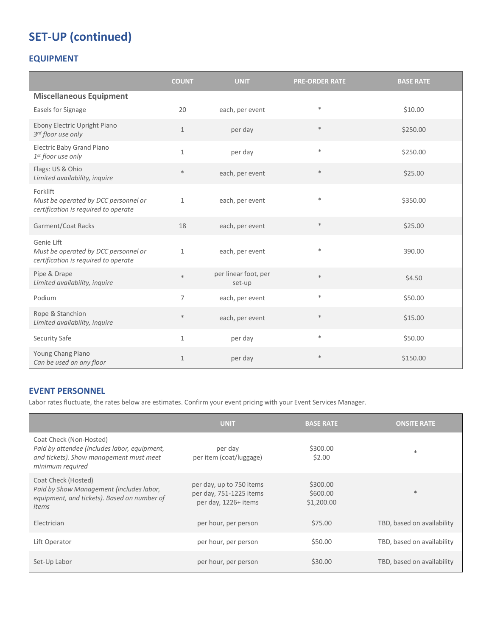# **SET-UP (continued)**

#### **EQUIPMENT**

|                                                                                            | <b>COUNT</b>   | <b>UNIT</b>                    | <b>PRE-ORDER RATE</b> | <b>BASE RATE</b> |
|--------------------------------------------------------------------------------------------|----------------|--------------------------------|-----------------------|------------------|
| <b>Miscellaneous Equipment</b>                                                             |                |                                |                       |                  |
| Easels for Signage                                                                         | 20             | each, per event                | $\ast$                | \$10.00          |
| Ebony Electric Upright Piano<br>3rd floor use only                                         | $\mathbf{1}$   | per day                        | $\ast$                | \$250.00         |
| Electric Baby Grand Piano<br>1st floor use only                                            | $\mathbf{1}$   | per day                        | $\ast$                | \$250.00         |
| Flags: US & Ohio<br>Limited availability, inquire                                          | $\ast$         | each, per event                | $\ast$                | \$25.00          |
| Forklift<br>Must be operated by DCC personnel or<br>certification is required to operate   | $\mathbf{1}$   | each, per event                | $\ast$                | \$350.00         |
| Garment/Coat Racks                                                                         | 18             | each, per event                | $\ast$                | \$25.00          |
| Genie Lift<br>Must be operated by DCC personnel or<br>certification is required to operate | $\mathbf{1}$   | each, per event                | $\ast$                | 390.00           |
| Pipe & Drape<br>Limited availability, inquire                                              | $\ast$         | per linear foot, per<br>set-up | $\ast$                | \$4.50           |
| Podium                                                                                     | $\overline{7}$ | each, per event                | $\ast$                | \$50.00          |
| Rope & Stanchion<br>Limited availability, inquire                                          | $\ast$         | each, per event                | $\ast$                | \$15.00          |
| Security Safe                                                                              | $\mathbf{1}$   | per day                        | $\ast$                | \$50.00          |
| Young Chang Piano<br>Can be used on any floor                                              | $\mathbf{1}$   | per day                        | $\ast$                | \$150.00         |

#### **EVENT PERSONNEL**

Labor rates fluctuate, the rates below are estimates. Confirm your event pricing with your Event Services Manager.

|                                                                                                                                        | <b>UNIT</b>                                                                 | <b>BASE RATE</b>                   | <b>ONSITE RATE</b>         |
|----------------------------------------------------------------------------------------------------------------------------------------|-----------------------------------------------------------------------------|------------------------------------|----------------------------|
| Coat Check (Non-Hosted)<br>Paid by attendee (includes labor, equipment,<br>and tickets). Show management must meet<br>minimum required | per day<br>per item (coat/luggage)                                          | \$300.00<br>\$2.00                 | $\ast$                     |
| Coat Check (Hosted)<br>Paid by Show Management (includes labor,<br>equipment, and tickets). Based on number of<br>items                | per day, up to 750 items<br>per day, 751-1225 items<br>per day, 1226+ items | \$300.00<br>\$600.00<br>\$1,200.00 | $*$                        |
| Electrician                                                                                                                            | per hour, per person                                                        | \$75.00                            | TBD, based on availability |
| Lift Operator                                                                                                                          | per hour, per person                                                        | \$50.00                            | TBD, based on availability |
| Set-Up Labor                                                                                                                           | per hour, per person                                                        | \$30.00                            | TBD, based on availability |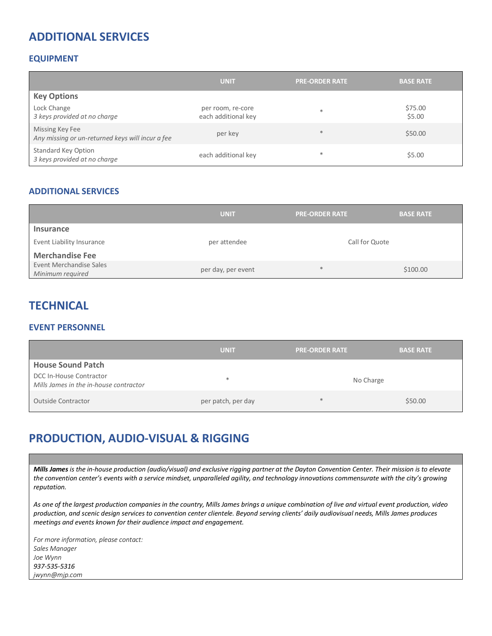# **ADDITIONAL SERVICES**

#### **EQUIPMENT**

|                                                                     | <b>UNIT</b>                              | <b>PRE-ORDER RATE</b> | <b>BASE RATE</b>  |
|---------------------------------------------------------------------|------------------------------------------|-----------------------|-------------------|
| <b>Key Options</b>                                                  |                                          |                       |                   |
| Lock Change<br>3 keys provided at no charge                         | per room, re-core<br>each additional key | $*$                   | \$75.00<br>\$5.00 |
| Missing Key Fee<br>Any missing or un-returned keys will incur a fee | per key                                  | $*$                   | \$50.00           |
| <b>Standard Key Option</b><br>3 keys provided at no charge          | each additional key                      | $*$                   | \$5.00            |

#### **ADDITIONAL SERVICES**

|                                             | <b>UNIT</b>        | <b>PRE-ORDER RATE</b> | <b>BASE RATE</b> |
|---------------------------------------------|--------------------|-----------------------|------------------|
| <b>Insurance</b>                            |                    |                       |                  |
| Event Liability Insurance                   | per attendee       | Call for Quote        |                  |
| <b>Merchandise Fee</b>                      |                    |                       |                  |
| Event Merchandise Sales<br>Minimum required | per day, per event | $\ast$                | \$100.00         |

### **TECHNICAL**

#### **EVENT PERSONNEL**

|                                                                   | <b>UNIT</b>        | <b>PRE-ORDER RATE</b> | <b>BASE RATE</b> |
|-------------------------------------------------------------------|--------------------|-----------------------|------------------|
| <b>House Sound Patch</b>                                          |                    |                       |                  |
| DCC In-House Contractor<br>Mills James in the in-house contractor | *                  | No Charge             |                  |
| Outside Contractor                                                | per patch, per day | $*$                   | \$50.00          |

# **PRODUCTION, AUDIO-VISUAL & RIGGING**

*Mills James is the in-house production (audio/visual) and exclusive rigging partner at the Dayton Convention Center. Their mission is to elevate the convention center's events with a service mindset, unparalleled agility, and technology innovations commensurate with the city's growing reputation.*

*As one of the largest production companies in the country, Mills James brings a unique combination of live and virtual event production, video production, and scenic design services to convention center clientele. Beyond serving clients' daily audiovisual needs, Mills James produces meetings and events known for their audience impact and engagement.*

*For more information, please contact: Sales Manager Joe Wynn 937-535-5316 jwynn@mjp.com*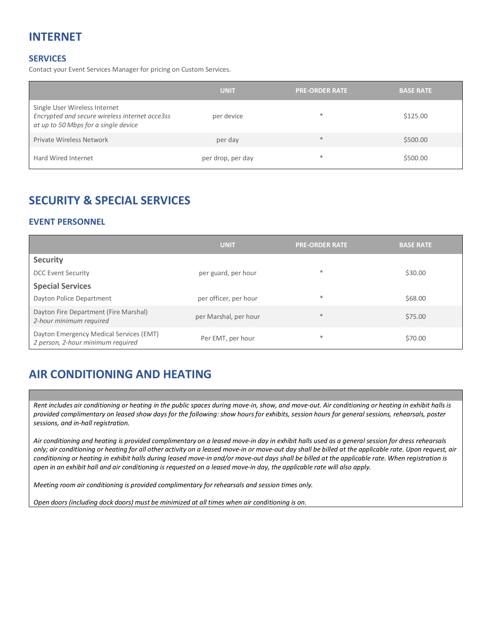# **INTERNET**

#### **SERVICES**

Contact your Event Services Manager for pricing on Custom Services.

|                                                                                                                         | <b>UNIT</b>       | <b>PRE-ORDER RATE</b> | <b>BASE RATE</b> |
|-------------------------------------------------------------------------------------------------------------------------|-------------------|-----------------------|------------------|
| Single User Wireless Internet<br>Encrypted and secure wireless internet acce3ss<br>at up to 50 Mbps for a single device | per device        | $\ast$                | \$125.00         |
| <b>Private Wireless Network</b>                                                                                         | per day           | $*$                   | \$500.00         |
| Hard Wired Internet                                                                                                     | per drop, per day | $\ast$                | \$500.00         |

# **SECURITY & SPECIAL SERVICES**

#### **EVENT PERSONNEL**

|                                                                              | <b>UNIT</b>           | <b>PRE-ORDER RATE</b> | <b>BASE RATE</b> |
|------------------------------------------------------------------------------|-----------------------|-----------------------|------------------|
| <b>Security</b>                                                              |                       |                       |                  |
| <b>DCC Event Security</b>                                                    | per guard, per hour   | $\ast$                | \$30.00          |
| <b>Special Services</b>                                                      |                       |                       |                  |
| Dayton Police Department                                                     | per officer, per hour | $\ast$                | \$68.00          |
| Dayton Fire Department (Fire Marshal)<br>2-hour minimum required             | per Marshal, per hour | $\ast$                | \$75.00          |
| Dayton Emergency Medical Services (EMT)<br>2 person, 2-hour minimum required | Per EMT, per hour     | $\ast$                | \$70.00          |

# **AIR CONDITIONING AND HEATING**

*Rent includes air conditioning or heating in the public spaces during move-in, show, and move-out. Air conditioning or heating in exhibit halls is provided complimentary on leased show days for the following: show hours for exhibits, session hours for general sessions, rehearsals, poster sessions, and in-hall registration.*

*Air conditioning and heating is provided complimentary on a leased move-in day in exhibit halls used as a general session for dress rehearsals only; air conditioning or heating for all other activity on a leased move-in or move-out day shall be billed at the applicable rate. Upon request, air conditioning or heating in exhibit halls during leased move-in and/or move-out days shall be billed at the applicable rate. When registration is open in an exhibit hall and air conditioning is requested on a leased move-in day, the applicable rate will also apply.*

*Meeting room air conditioning is provided complimentary for rehearsals and session times only.*

*Open doors (including dock doors) must be minimized at all times when air conditioning is on.*